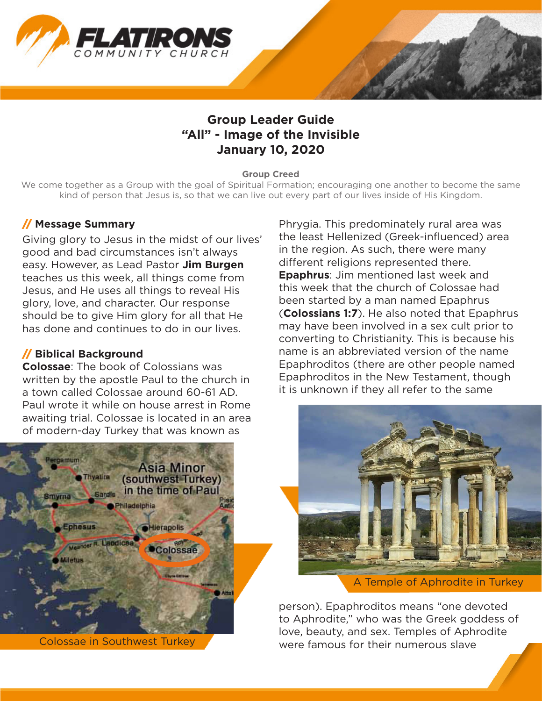

# **Group Leader Guide "All" - Image of the Invisible January 10, 2020**

#### **Group Creed**

We come together as a Group with the goal of Spiritual Formation; encouraging one another to become the same kind of person that Jesus is, so that we can live out every part of our lives inside of His Kingdom.

### // **Message Summary**

Giving glory to Jesus in the midst of our lives' good and bad circumstances isn't always easy. However, as Lead Pastor **Jim Burgen** teaches us this week, all things come from Jesus, and He uses all things to reveal His glory, love, and character. Our response should be to give Him glory for all that He has done and continues to do in our lives.

### // **Biblical Background**

**Colossae**: The book of Colossians was written by the apostle Paul to the church in a town called Colossae around 60-61 AD. Paul wrote it while on house arrest in Rome awaiting trial. Colossae is located in an area of modern-day Turkey that was known as



Phrygia. This predominately rural area was the least Hellenized (Greek-influenced) area in the region. As such, there were many different religions represented there. **Epaphrus**: Jim mentioned last week and this week that the church of Colossae had been started by a man named Epaphrus (**Colossians 1:7**). He also noted that Epaphrus may have been involved in a sex cult prior to converting to Christianity. This is because his name is an abbreviated version of the name Epaphroditos (there are other people named Epaphroditos in the New Testament, though it is unknown if they all refer to the same



A Temple of Aphrodite in Turkey

person). Epaphroditos means "one devoted to Aphrodite," who was the Greek goddess of Love, beauty, and sex. Temples of Aphrodite Colossae in Southwest Turkey were famous for their numerous slave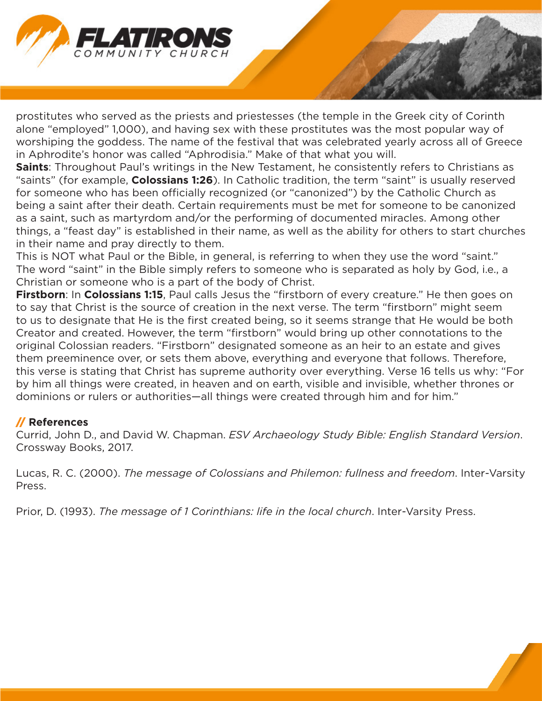

prostitutes who served as the priests and priestesses (the temple in the Greek city of Corinth alone "employed" 1,000), and having sex with these prostitutes was the most popular way of worshiping the goddess. The name of the festival that was celebrated yearly across all of Greece in Aphrodite's honor was called "Aphrodisia." Make of that what you will.

**Saints**: Throughout Paul's writings in the New Testament, he consistently refers to Christians as "saints" (for example, **Colossians 1:26**). In Catholic tradition, the term "saint" is usually reserved for someone who has been officially recognized (or "canonized") by the Catholic Church as being a saint after their death. Certain requirements must be met for someone to be canonized as a saint, such as martyrdom and/or the performing of documented miracles. Among other things, a "feast day" is established in their name, as well as the ability for others to start churches in their name and pray directly to them.

This is NOT what Paul or the Bible, in general, is referring to when they use the word "saint." The word "saint" in the Bible simply refers to someone who is separated as holy by God, i.e., a Christian or someone who is a part of the body of Christ.

**Firstborn**: In **Colossians 1:15**, Paul calls Jesus the "firstborn of every creature." He then goes on to say that Christ is the source of creation in the next verse. The term "firstborn" might seem to us to designate that He is the first created being, so it seems strange that He would be both Creator and created. However, the term "firstborn" would bring up other connotations to the original Colossian readers. "Firstborn" designated someone as an heir to an estate and gives them preeminence over, or sets them above, everything and everyone that follows. Therefore, this verse is stating that Christ has supreme authority over everything. Verse 16 tells us why: "For by him all things were created, in heaven and on earth, visible and invisible, whether thrones or dominions or rulers or authorities—all things were created through him and for him."

### // **References**

Currid, John D., and David W. Chapman. *ESV Archaeology Study Bible: English Standard Version*. Crossway Books, 2017.

Lucas, R. C. (2000). *The message of Colossians and Philemon: fullness and freedom*. Inter-Varsity Press.

Prior, D. (1993). *The message of 1 Corinthians: life in the local church*. Inter-Varsity Press.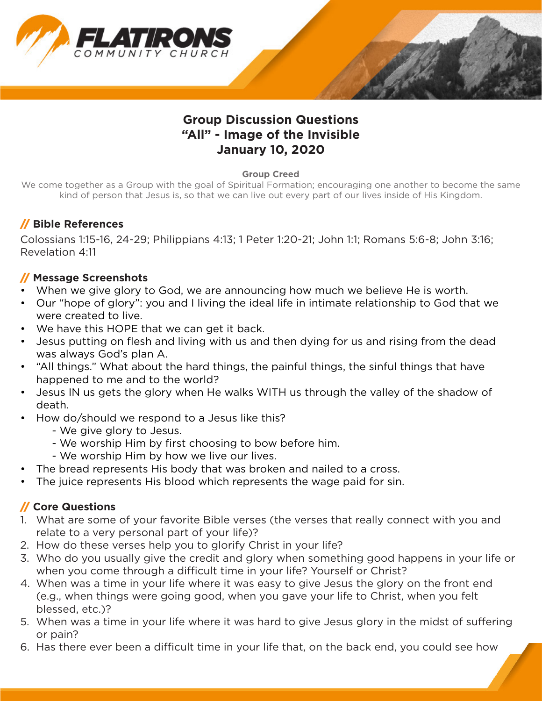

# **Group Discussion Questions "All" - Image of the Invisible January 10, 2020**

#### **Group Creed**

We come together as a Group with the goal of Spiritual Formation; encouraging one another to become the same kind of person that Jesus is, so that we can live out every part of our lives inside of His Kingdom.

# // **Bible References**

Colossians 1:15-16, 24-29; Philippians 4:13; 1 Peter 1:20-21; John 1:1; Romans 5:6-8; John 3:16; Revelation 4:11

# // **Message Screenshots**

- When we give glory to God, we are announcing how much we believe He is worth.
- Our "hope of glory": you and I living the ideal life in intimate relationship to God that we were created to live.
- We have this HOPE that we can get it back.
- Jesus putting on flesh and living with us and then dying for us and rising from the dead was always God's plan A.
- "All things." What about the hard things, the painful things, the sinful things that have happened to me and to the world?
- Jesus IN us gets the glory when He walks WITH us through the valley of the shadow of death.
- How do/should we respond to a Jesus like this?
	- We give glory to Jesus.
	- We worship Him by first choosing to bow before him.
	- We worship Him by how we live our lives.
- The bread represents His body that was broken and nailed to a cross.
- The juice represents His blood which represents the wage paid for sin.

# // **Core Questions**

- 1. What are some of your favorite Bible verses (the verses that really connect with you and relate to a very personal part of your life)?
- 2. How do these verses help you to glorify Christ in your life?
- 3. Who do you usually give the credit and glory when something good happens in your life or when you come through a difficult time in your life? Yourself or Christ?
- 4. When was a time in your life where it was easy to give Jesus the glory on the front end (e.g., when things were going good, when you gave your life to Christ, when you felt blessed, etc.)?
- 5. When was a time in your life where it was hard to give Jesus glory in the midst of suffering or pain?
- 6. Has there ever been a difficult time in your life that, on the back end, you could see how